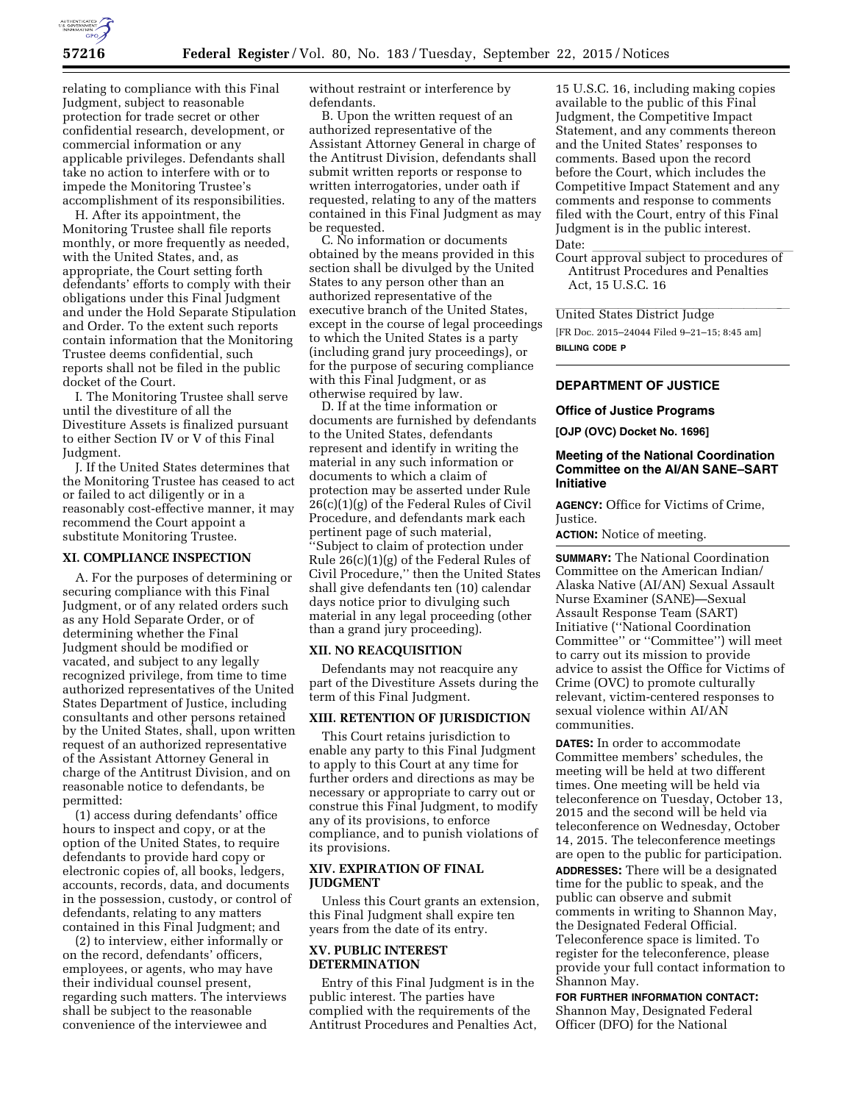

relating to compliance with this Final Judgment, subject to reasonable protection for trade secret or other confidential research, development, or commercial information or any applicable privileges. Defendants shall take no action to interfere with or to impede the Monitoring Trustee's accomplishment of its responsibilities.

H. After its appointment, the Monitoring Trustee shall file reports monthly, or more frequently as needed, with the United States, and, as appropriate, the Court setting forth defendants' efforts to comply with their obligations under this Final Judgment and under the Hold Separate Stipulation and Order. To the extent such reports contain information that the Monitoring Trustee deems confidential, such reports shall not be filed in the public docket of the Court.

I. The Monitoring Trustee shall serve until the divestiture of all the Divestiture Assets is finalized pursuant to either Section IV or V of this Final Judgment.

J. If the United States determines that the Monitoring Trustee has ceased to act or failed to act diligently or in a reasonably cost-effective manner, it may recommend the Court appoint a substitute Monitoring Trustee.

#### **XI. COMPLIANCE INSPECTION**

A. For the purposes of determining or securing compliance with this Final Judgment, or of any related orders such as any Hold Separate Order, or of determining whether the Final Judgment should be modified or vacated, and subject to any legally recognized privilege, from time to time authorized representatives of the United States Department of Justice, including consultants and other persons retained by the United States, shall, upon written request of an authorized representative of the Assistant Attorney General in charge of the Antitrust Division, and on reasonable notice to defendants, be permitted:

(1) access during defendants' office hours to inspect and copy, or at the option of the United States, to require defendants to provide hard copy or electronic copies of, all books, ledgers, accounts, records, data, and documents in the possession, custody, or control of defendants, relating to any matters contained in this Final Judgment; and

(2) to interview, either informally or on the record, defendants' officers, employees, or agents, who may have their individual counsel present, regarding such matters. The interviews shall be subject to the reasonable convenience of the interviewee and

without restraint or interference by defendants.

B. Upon the written request of an authorized representative of the Assistant Attorney General in charge of the Antitrust Division, defendants shall submit written reports or response to written interrogatories, under oath if requested, relating to any of the matters contained in this Final Judgment as may be requested.

C. No information or documents obtained by the means provided in this section shall be divulged by the United States to any person other than an authorized representative of the executive branch of the United States, except in the course of legal proceedings to which the United States is a party (including grand jury proceedings), or for the purpose of securing compliance with this Final Judgment, or as otherwise required by law.

D. If at the time information or documents are furnished by defendants to the United States, defendants represent and identify in writing the material in any such information or documents to which a claim of protection may be asserted under Rule 26(c)(1)(g) of the Federal Rules of Civil Procedure, and defendants mark each pertinent page of such material, ''Subject to claim of protection under Rule 26(c)(1)(g) of the Federal Rules of Civil Procedure,'' then the United States shall give defendants ten (10) calendar days notice prior to divulging such material in any legal proceeding (other than a grand jury proceeding).

## **XII. NO REACQUISITION**

Defendants may not reacquire any part of the Divestiture Assets during the term of this Final Judgment.

## **XIII. RETENTION OF JURISDICTION**

This Court retains jurisdiction to enable any party to this Final Judgment to apply to this Court at any time for further orders and directions as may be necessary or appropriate to carry out or construe this Final Judgment, to modify any of its provisions, to enforce compliance, and to punish violations of its provisions.

# **XIV. EXPIRATION OF FINAL JUDGMENT**

Unless this Court grants an extension, this Final Judgment shall expire ten years from the date of its entry.

## **XV. PUBLIC INTEREST DETERMINATION**

Entry of this Final Judgment is in the public interest. The parties have complied with the requirements of the Antitrust Procedures and Penalties Act,

15 U.S.C. 16, including making copies available to the public of this Final Judgment, the Competitive Impact Statement, and any comments thereon and the United States' responses to comments. Based upon the record before the Court, which includes the Competitive Impact Statement and any comments and response to comments filed with the Court, entry of this Final Judgment is in the public interest.

Date:<br>Court approval subject to procedures of Antitrust Procedures and Penalties Act, 15 U.S.C. 16

United States District Judge

[FR Doc. 2015–24044 Filed 9–21–15; 8:45 am] **BILLING CODE P** 

# **DEPARTMENT OF JUSTICE**

### **Office of Justice Programs**

**[OJP (OVC) Docket No. 1696]** 

## **Meeting of the National Coordination Committee on the AI/AN SANE–SART Initiative**

**AGENCY:** Office for Victims of Crime, Justice.

**ACTION:** Notice of meeting.

**SUMMARY:** The National Coordination Committee on the American Indian/ Alaska Native (AI/AN) Sexual Assault Nurse Examiner (SANE)—Sexual Assault Response Team (SART) Initiative (''National Coordination Committee'' or ''Committee'') will meet to carry out its mission to provide advice to assist the Office for Victims of Crime (OVC) to promote culturally relevant, victim-centered responses to sexual violence within AI/AN communities.

**DATES:** In order to accommodate Committee members' schedules, the meeting will be held at two different times. One meeting will be held via teleconference on Tuesday, October 13, 2015 and the second will be held via teleconference on Wednesday, October 14, 2015. The teleconference meetings are open to the public for participation. **ADDRESSES:** There will be a designated time for the public to speak, and the public can observe and submit comments in writing to Shannon May, the Designated Federal Official. Teleconference space is limited. To register for the teleconference, please provide your full contact information to Shannon May.

**FOR FURTHER INFORMATION CONTACT:**  Shannon May, Designated Federal Officer (DFO) for the National